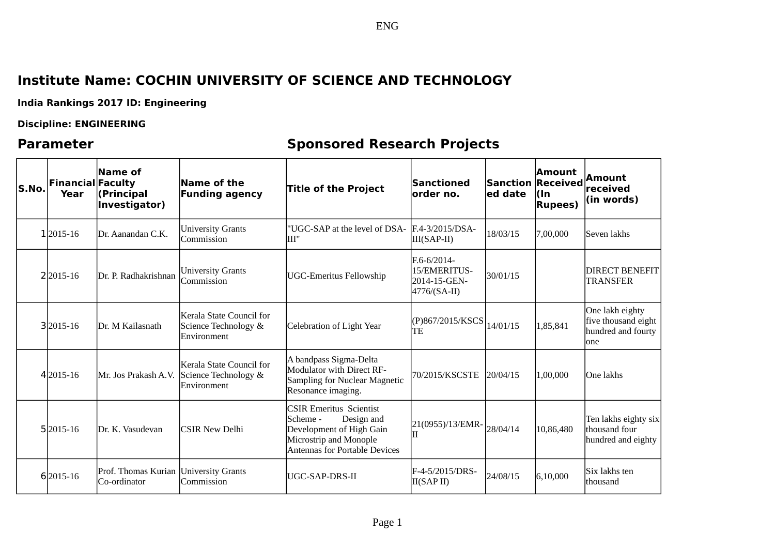## **Institute Name: COCHIN UNIVERSITY OF SCIENCE AND TECHNOLOGY**

**India Rankings 2017 ID: Engineering**

### **Discipline: ENGINEERING**

# **Parameter Sponsored Research Projects**

ENG

| S.No. | <b>Financial Faculty</b><br>Year | Name of<br>(Principal<br>Investigator) | Name of the<br><b>Funding agency</b>                             | Title of the Project                                                                                                                             | Sanctioned<br>lorder no.                                      | <b>Sanction Received</b><br>led date | <b>Amount</b><br>l(In<br><b>Rupees</b> ) | <b>Amount</b><br>received<br>$\vert$ (in words)                      |
|-------|----------------------------------|----------------------------------------|------------------------------------------------------------------|--------------------------------------------------------------------------------------------------------------------------------------------------|---------------------------------------------------------------|--------------------------------------|------------------------------------------|----------------------------------------------------------------------|
|       | 12015-16                         | Dr. Aanandan C.K.                      | <b>University Grants</b><br>Commission                           | "UGC-SAP at the level of DSA- F.4-3/2015/DSA-<br>lIII"                                                                                           | III(SAP-II)                                                   | 18/03/15                             | 7,00,000                                 | Seven lakhs                                                          |
|       | 2 2 0 1 5 - 1 6                  | Dr. P. Radhakrishnan                   | <b>University Grants</b><br>Commission                           | <b>UGC-Emeritus Fellowship</b>                                                                                                                   | F.6-6/2014-<br>15/EMERITUS-<br>2014-15-GEN-<br>$4776/(SA-II)$ | 30/01/15                             |                                          | <b>DIRECT BENEFIT</b><br><b>TRANSFER</b>                             |
|       | 32015-16                         | Dr. M Kailasnath                       | Kerala State Council for<br>Science Technology &<br>lEnvironment | Celebration of Light Year                                                                                                                        | (P)867/2015/KSCS<br>TE                                        | 14/01/15                             | 1,85,841                                 | One lakh eighty<br>five thousand eight<br>hundred and fourty<br>lone |
|       | 42015-16                         | Mr. Jos Prakash A.V.                   | Kerala State Council for<br>Science Technology &<br> Environment | A bandpass Sigma-Delta<br>Modulator with Direct RF-<br>Sampling for Nuclear Magnetic<br>Resonance imaging.                                       | 70/2015/KSCSTE                                                | 20/04/15                             | 1,00,000                                 | One lakhs                                                            |
|       | 52015-16                         | Dr. K. Vasudevan                       | lCSIR New Delhi                                                  | <b>CSIR Emeritus Scientist</b><br> Scheme -<br>Design and<br>Development of High Gain<br>Microstrip and Monople<br>Antennas for Portable Devices | 21(0955)/13/EMR-<br>IН                                        | 28/04/14                             | 10,86,480                                | Ten lakhs eighty six<br>thousand four<br>hundred and eighty          |
|       | 62015-16                         | Prof. Thomas Kurian<br>Co-ordinator    | <b>University Grants</b><br>Commission                           | UGC-SAP-DRS-II                                                                                                                                   | F-4-5/2015/DRS-<br>II(SAPII)                                  | 24/08/15                             | 6, 10, 000                               | Six lakhs ten<br><b>Ithousand</b>                                    |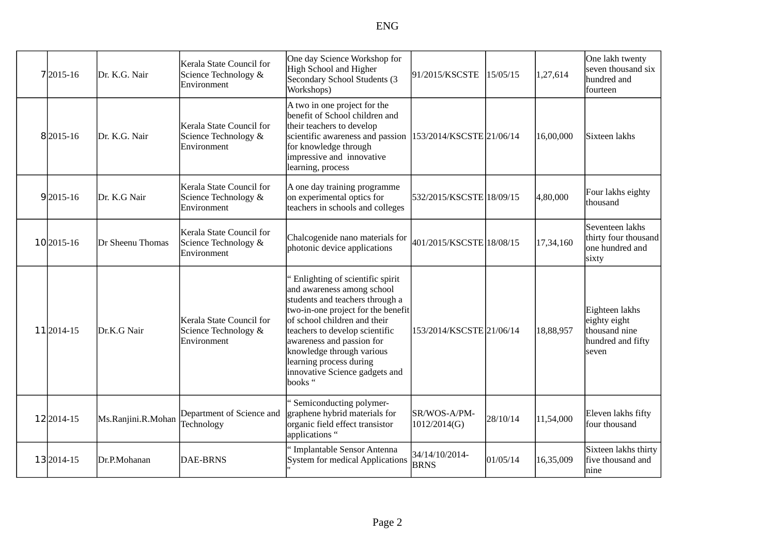| 7 2015-16  | Dr. K.G. Nair      | Kerala State Council for<br>Science Technology &<br>Environment | One day Science Workshop for<br>High School and Higher<br>Secondary School Students (3<br>Workshops)                                                                                                                                                                                                                                         | 91/2015/KSCSTE                | 15/05/15 | 1,27,614  | One lakh twenty<br>seven thousand six<br>hundred and<br>fourteen              |
|------------|--------------------|-----------------------------------------------------------------|----------------------------------------------------------------------------------------------------------------------------------------------------------------------------------------------------------------------------------------------------------------------------------------------------------------------------------------------|-------------------------------|----------|-----------|-------------------------------------------------------------------------------|
| 82015-16   | Dr. K.G. Nair      | Kerala State Council for<br>Science Technology &<br>Environment | A two in one project for the<br>benefit of School children and<br>their teachers to develop<br>scientific awareness and passion  153/2014/KSCSTE  21/06/14<br>for knowledge through<br>impressive and innovative<br>learning, process                                                                                                        |                               |          | 16,00,000 | Sixteen lakhs                                                                 |
| 92015-16   | Dr. K.G Nair       | Kerala State Council for<br>Science Technology &<br>Environment | A one day training programme<br>on experimental optics for<br>teachers in schools and colleges                                                                                                                                                                                                                                               | 532/2015/KSCSTE 18/09/15      |          | 4,80,000  | Four lakhs eighty<br>thousand                                                 |
| 10 2015-16 | Dr Sheenu Thomas   | Kerala State Council for<br>Science Technology &<br>Environment | Chalcogenide nano materials for<br>photonic device applications                                                                                                                                                                                                                                                                              | 401/2015/KSCSTE 18/08/15      |          | 17,34,160 | Seventeen lakhs<br>thirty four thousand<br>one hundred and<br>sixty           |
| 11 2014-15 | Dr.K.G Nair        | Kerala State Council for<br>Science Technology &<br>Environment | " Enlighting of scientific spirit<br>and awareness among school<br>students and teachers through a<br>two-in-one project for the benefit<br>of school children and their<br>teachers to develop scientific<br>awareness and passion for<br>knowledge through various<br>learning process during<br>innovative Science gadgets and<br>books " | 153/2014/KSCSTE 21/06/14      |          | 18,88,957 | Eighteen lakhs<br>eighty eight<br>thousand nine<br>hundred and fifty<br>seven |
| 12 2014-15 | Ms.Ranjini.R.Mohan | Department of Science and<br>Technology                         | "Semiconducting polymer-<br>graphene hybrid materials for<br>organic field effect transistor<br>applications "                                                                                                                                                                                                                               | SR/WOS-A/PM-<br>1012/2014(G)  | 28/10/14 | 11,54,000 | Eleven lakhs fifty<br>four thousand                                           |
| 132014-15  | Dr.P.Mohanan       | <b>DAE-BRNS</b>                                                 | Implantable Sensor Antenna<br>System for medical Applications                                                                                                                                                                                                                                                                                | 34/14/10/2014-<br><b>BRNS</b> | 01/05/14 | 16,35,009 | Sixteen lakhs thirty<br>five thousand and<br>nine                             |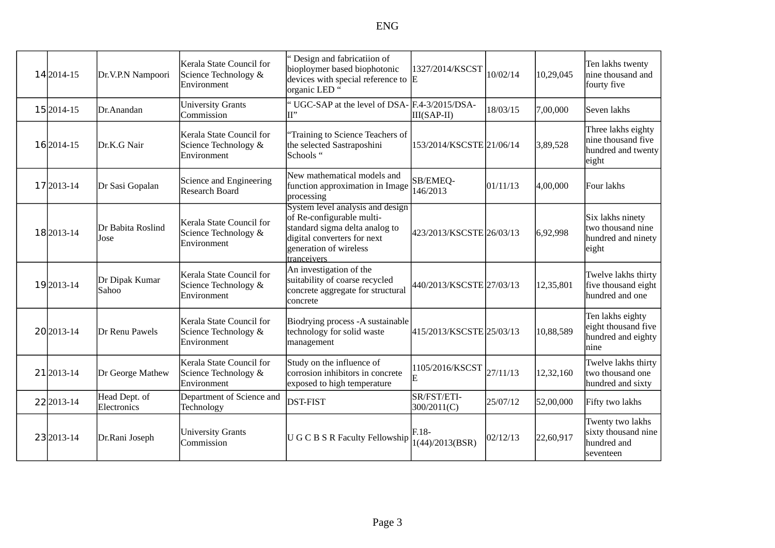| 14 2014-15    | Dr.V.P.N Nampoori            | Kerala State Council for<br>Science Technology &<br>Environment         | " Design and fabricatiion of<br>bioploymer based biophotonic<br>devices with special reference to $ E $<br>organic LED "                                                | 1327/2014/KSCST            | 10/02/14  | 10,29,045 | Ten lakhs twenty<br>nine thousand and<br>fourty five                    |
|---------------|------------------------------|-------------------------------------------------------------------------|-------------------------------------------------------------------------------------------------------------------------------------------------------------------------|----------------------------|-----------|-----------|-------------------------------------------------------------------------|
| 15 2014-15    | Dr.Anandan                   | <b>University Grants</b><br>Commission                                  | " UGC-SAP at the level of DSA- F.4-3/2015/DSA-                                                                                                                          | III(SAP-II)                | 18/03/15  | 7,00,000  | Seven lakhs                                                             |
| 16 2014-15    | Dr.K.G Nair                  | Kerala State Council for<br>Science Technology &<br>Environment         | "Training to Science Teachers of<br>the selected Sastraposhini<br>Schools "                                                                                             | 153/2014/KSCSTE 21/06/14   |           | 3,89,528  | Three lakhs eighty<br>nine thousand five<br>hundred and twenty<br>eight |
| 17 2013-14    | Dr Sasi Gopalan              | Science and Engineering<br>Research Board                               | New mathematical models and<br>function approximation in Image<br>processing                                                                                            | SB/EMEQ-<br>146/2013       | 101/11/13 | 4,00,000  | Four lakhs                                                              |
| 18 2013-14    | Dr Babita Roslind<br>Jose    | Kerala State Council for<br>Science Technology &<br>Environment         | System level analysis and design<br>of Re-configurable multi-<br>standard sigma delta analog to<br>digital converters for next<br>generation of wireless<br>tranceivers | 423/2013/KSCSTE 26/03/13   |           | 6,92,998  | Six lakhs ninety<br>two thousand nine<br>hundred and ninety<br>eight    |
| 19 2013-14    | Dr Dipak Kumar<br>Sahoo      | Kerala State Council for<br>Science Technology &<br>Environment         | An investigation of the<br>suitability of coarse recycled<br>concrete aggregate for structural<br>concrete                                                              | 440/2013/KSCSTE 27/03/13   |           | 12,35,801 | Twelve lakhs thirty<br>five thousand eight<br>hundred and one           |
| 20 20 13 - 14 | Dr Renu Pawels               | Kerala State Council for<br>Science Technology &<br><b>IEnvironment</b> | Biodrying process - A sustainable<br>technology for solid waste<br>management                                                                                           | 415/2013/KSCSTE 25/03/13   |           | 10,88,589 | Ten lakhs eighty<br>eight thousand five<br>hundred and eighty<br>Inine  |
| 21 2013-14    | Dr George Mathew             | Kerala State Council for<br>Science Technology &<br>Environment         | Study on the influence of<br>corrosion inhibitors in concrete<br>exposed to high temperature                                                                            | 1105/2016/KSCST<br>E       | 27/11/13  | 12,32,160 | Twelve lakhs thirty<br>two thousand one<br>hundred and sixty            |
| 22 2013-14    | Head Dept. of<br>Electronics | Department of Science and<br>Technology                                 | <b>DST-FIST</b>                                                                                                                                                         | SR/FST/ETI-<br>300/2011(C) | 25/07/12  | 52,00,000 | Fifty two lakhs                                                         |
| 23 2013-14    | Dr.Rani Joseph               | <b>University Grants</b><br>Commission                                  | U G C B S R Faculty Fellowship                                                                                                                                          | $F.18-$<br>1(44)/2013(BSR) | 02/12/13  | 22,60,917 | Twenty two lakhs<br>sixty thousand nine<br>hundred and<br>seventeen     |